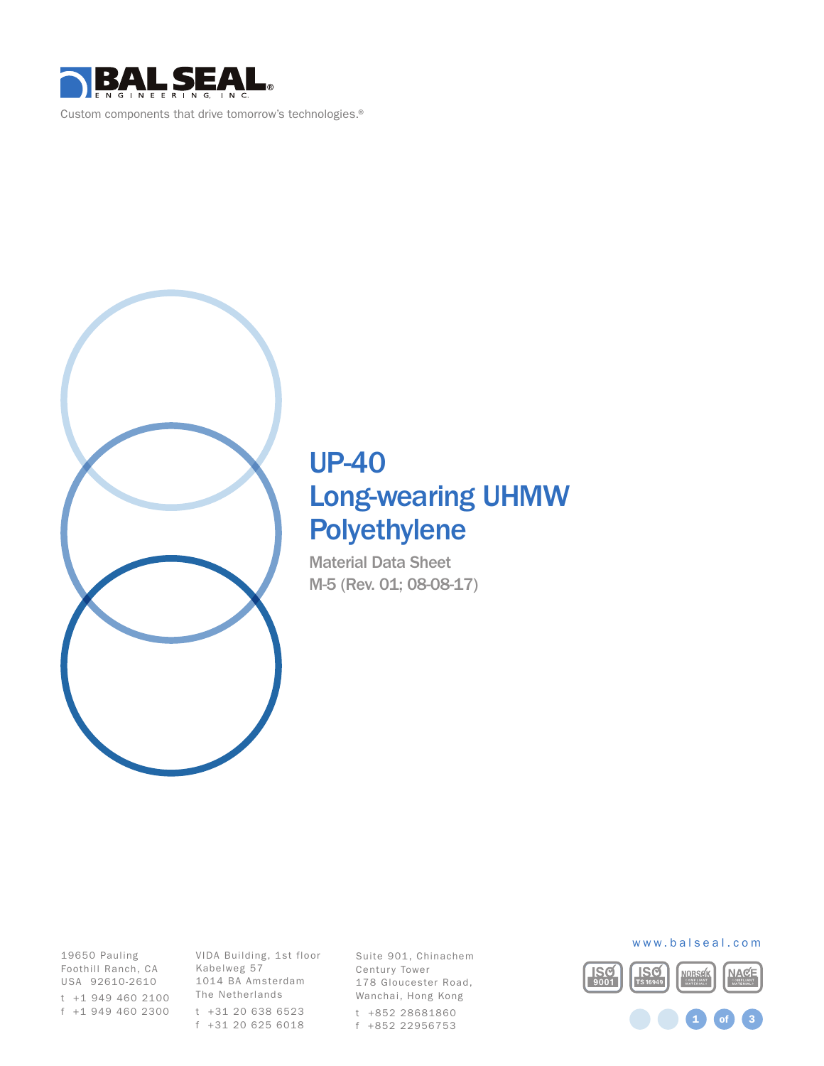

Custom components that drive tomorrow's technologies.®



# UP-40 Long-wearing UHMW Polyethylene

Material Data Sheet M-5 (Rev. 01; 08-08-17)

Foothill Ranch, CA Kabelweg 57 19650 Pauling USA 92610-2610 t +1 949 460 2100 f +1 949 460 2300

VIDA Building, 1st floor 1014 BA Amsterdam The Netherlands t +31 20 638 6523 f +31 20 625 6018

Suite 901, Chinachem Century Tower 178 Gloucester Road, Wanchai, Hong Kong t +852 28681860 f +852 22956753



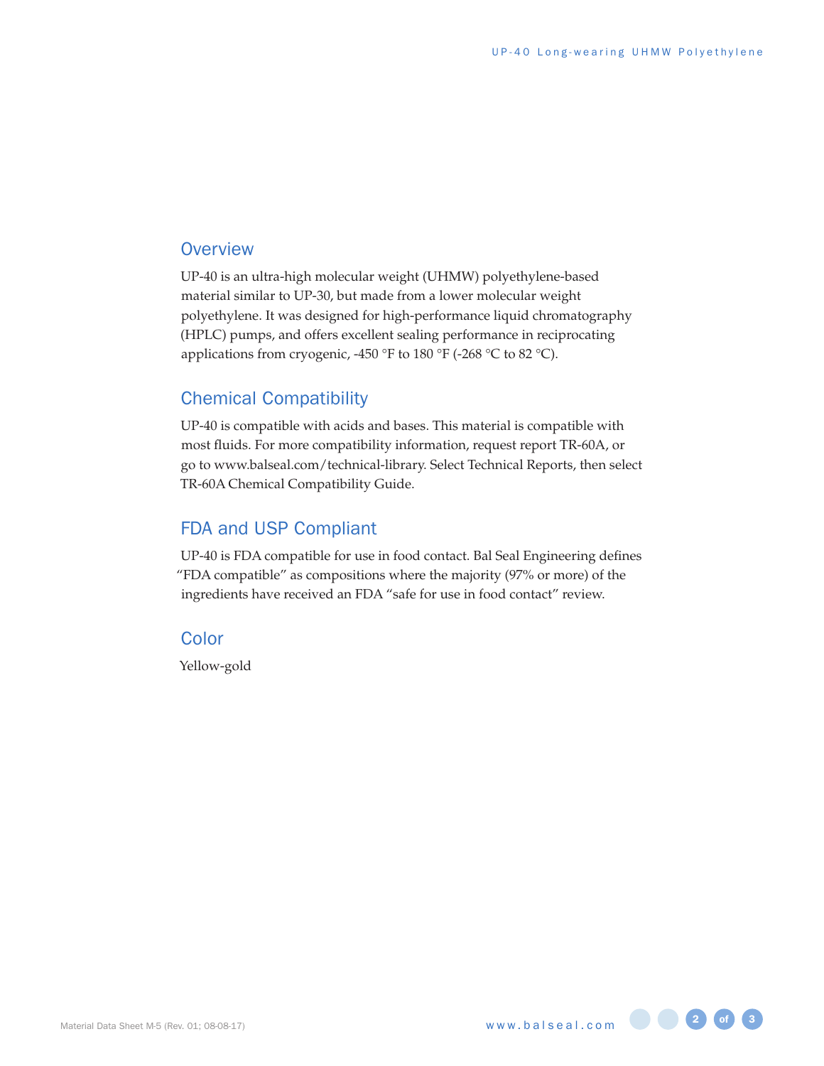### **Overview**

UP-40 is an ultra-high molecular weight (UHMW) polyethylene-based material similar to UP-30, but made from a lower molecular weight polyethylene. It was designed for high-performance liquid chromatography (HPLC) pumps, and offers excellent sealing performance in reciprocating applications from cryogenic, -450 °F to 180 °F (-268 °C to 82 °C).

### Chemical Compatibility

UP-40 is compatible with acids and bases. This material is compatible with most fluids. For more compatibility information, request report TR-60A, or go to www.balseal.com/technical-library. Select Technical Reports, then select TR-60A Chemical Compatibility Guide.

## FDA and USP Compliant

UP-40 is FDA compatible for use in food contact. Bal Seal Engineering defines "FDA compatible" as compositions where the majority (97% or more) of the ingredients have received an FDA "safe for use in food contact" review.

## **Color**

Yellow-gold